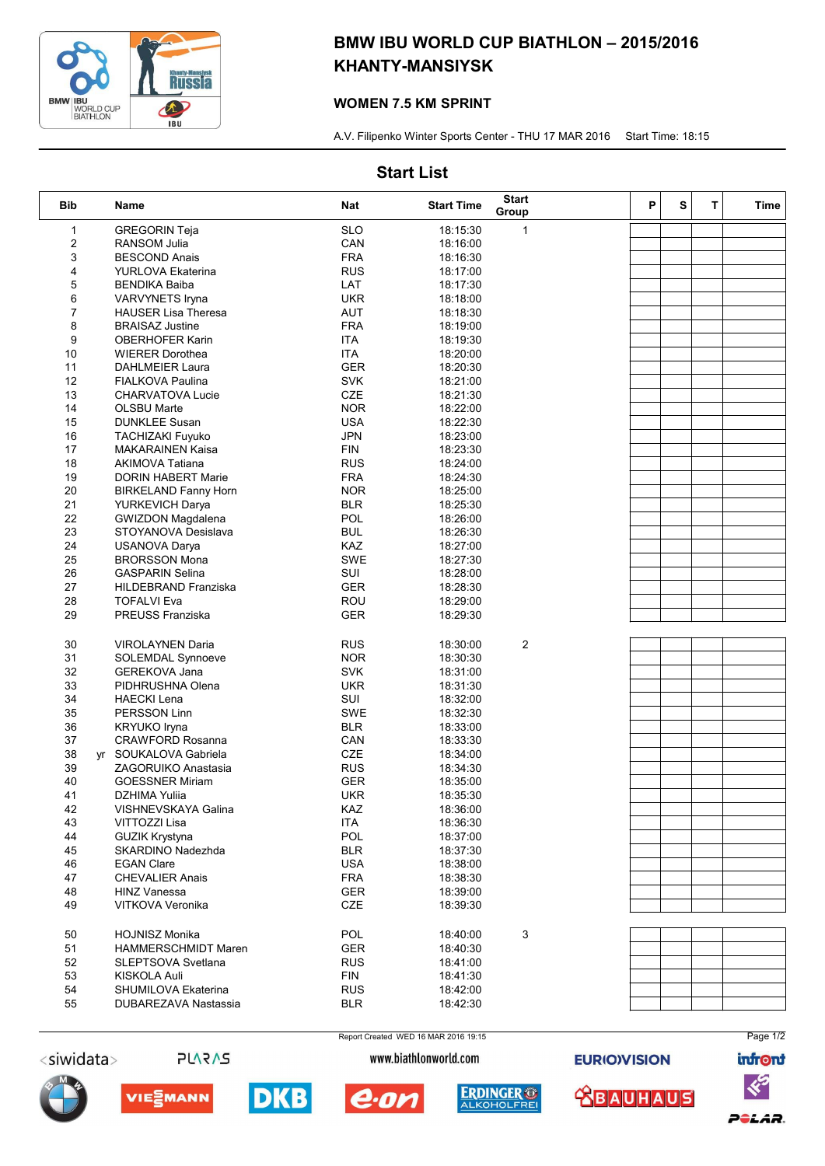

# BMW IBU WORLD CUP BIATHLON – 2015/2016 KHANTY-MANSIYSK

## WOMEN 7.5 KM SPRINT

A.V. Filipenko Winter Sports Center - THU 17 MAR 2016 Start Time: 18:15

## Start List

| <b>Bib</b>   | Name                        | Nat        | <b>Start Time</b> | <b>Start</b><br>Group | P | S | T | Time |
|--------------|-----------------------------|------------|-------------------|-----------------------|---|---|---|------|
| $\mathbf{1}$ | <b>GREGORIN Teja</b>        | <b>SLO</b> | 18:15:30          | $\mathbf{1}$          |   |   |   |      |
| 2            | <b>RANSOM Julia</b>         | CAN        | 18:16:00          |                       |   |   |   |      |
| 3            | <b>BESCOND Anais</b>        | <b>FRA</b> | 18:16:30          |                       |   |   |   |      |
| 4            | <b>YURLOVA Ekaterina</b>    | <b>RUS</b> | 18:17:00          |                       |   |   |   |      |
| 5            | <b>BENDIKA Baiba</b>        | LAT        | 18:17:30          |                       |   |   |   |      |
| 6            | <b>VARVYNETS Iryna</b>      | <b>UKR</b> | 18:18:00          |                       |   |   |   |      |
| 7            | <b>HAUSER Lisa Theresa</b>  | AUT        | 18:18:30          |                       |   |   |   |      |
| 8            | <b>BRAISAZ Justine</b>      | <b>FRA</b> | 18:19:00          |                       |   |   |   |      |
| 9            | <b>OBERHOFER Karin</b>      | <b>ITA</b> | 18:19:30          |                       |   |   |   |      |
| 10           | <b>WIERER Dorothea</b>      | <b>ITA</b> | 18:20:00          |                       |   |   |   |      |
| 11           | <b>DAHLMEIER Laura</b>      | <b>GER</b> | 18:20:30          |                       |   |   |   |      |
| 12           | <b>FIALKOVA Paulina</b>     | <b>SVK</b> | 18:21:00          |                       |   |   |   |      |
| 13           | <b>CHARVATOVA Lucie</b>     | <b>CZE</b> | 18:21:30          |                       |   |   |   |      |
| 14           | <b>OLSBU Marte</b>          | <b>NOR</b> | 18:22:00          |                       |   |   |   |      |
| 15           | <b>DUNKLEE Susan</b>        | <b>USA</b> | 18:22:30          |                       |   |   |   |      |
| 16           | <b>TACHIZAKI Fuyuko</b>     | <b>JPN</b> | 18:23:00          |                       |   |   |   |      |
| 17           | <b>MAKARAINEN Kaisa</b>     | FIN        | 18:23:30          |                       |   |   |   |      |
| 18           | <b>AKIMOVA Tatiana</b>      | <b>RUS</b> | 18:24:00          |                       |   |   |   |      |
| 19           | <b>DORIN HABERT Marie</b>   | <b>FRA</b> | 18:24:30          |                       |   |   |   |      |
| 20           | <b>BIRKELAND Fanny Horn</b> | <b>NOR</b> | 18:25:00          |                       |   |   |   |      |
| 21           | <b>YURKEVICH Darya</b>      | <b>BLR</b> | 18:25:30          |                       |   |   |   |      |
| 22           | <b>GWIZDON Magdalena</b>    | <b>POL</b> | 18:26:00          |                       |   |   |   |      |
| 23           | STOYANOVA Desislava         | BUL        | 18:26:30          |                       |   |   |   |      |
| 24           | <b>USANOVA Darya</b>        | <b>KAZ</b> | 18:27:00          |                       |   |   |   |      |
| 25           | <b>BRORSSON Mona</b>        | SWE        | 18:27:30          |                       |   |   |   |      |
| 26           | <b>GASPARIN Selina</b>      | SUI        | 18:28:00          |                       |   |   |   |      |
| 27           | <b>HILDEBRAND Franziska</b> | <b>GER</b> | 18:28:30          |                       |   |   |   |      |
| 28           | <b>TOFALVI Eva</b>          | ROU        | 18:29:00          |                       |   |   |   |      |
| 29           | PREUSS Franziska            | <b>GER</b> | 18:29:30          |                       |   |   |   |      |
|              |                             |            |                   |                       |   |   |   |      |
| 30           | <b>VIROLAYNEN Daria</b>     | <b>RUS</b> | 18:30:00          | $\overline{c}$        |   |   |   |      |
| 31           | <b>SOLEMDAL Synnoeve</b>    | <b>NOR</b> | 18:30:30          |                       |   |   |   |      |
| 32           | <b>GEREKOVA Jana</b>        | <b>SVK</b> | 18:31:00          |                       |   |   |   |      |
| 33           | PIDHRUSHNA Olena            | <b>UKR</b> | 18:31:30          |                       |   |   |   |      |
| 34           | <b>HAECKI Lena</b>          | SUI        | 18:32:00          |                       |   |   |   |      |
| 35           | PERSSON Linn                | <b>SWE</b> | 18:32:30          |                       |   |   |   |      |
| 36           | <b>KRYUKO Iryna</b>         | <b>BLR</b> | 18:33:00          |                       |   |   |   |      |
| 37           | <b>CRAWFORD Rosanna</b>     | CAN        | 18:33:30          |                       |   |   |   |      |
| 38           | yr SOUKALOVA Gabriela       | <b>CZE</b> | 18:34:00          |                       |   |   |   |      |
| 39           | <b>ZAGORUIKO Anastasia</b>  | <b>RUS</b> | 18:34:30          |                       |   |   |   |      |
| 40           | <b>GOESSNER Miriam</b>      | GER        | 18:35:00          |                       |   |   |   |      |
| 41           | DZHIMA Yuliia               | <b>UKR</b> | 18:35:30          |                       |   |   |   |      |
| 42           | VISHNEVSKAYA Galina         | KAZ        | 18:36:00          |                       |   |   |   |      |
| 43           | VITTOZZI Lisa               | <b>ITA</b> | 18:36:30          |                       |   |   |   |      |
| 44           | <b>GUZIK Krystyna</b>       | POL        | 18:37:00          |                       |   |   |   |      |
| 45           | SKARDINO Nadezhda           | <b>BLR</b> | 18:37:30          |                       |   |   |   |      |
| 46           | <b>EGAN Clare</b>           | <b>USA</b> | 18:38:00          |                       |   |   |   |      |
| 47           | <b>CHEVALIER Anais</b>      | <b>FRA</b> | 18:38:30          |                       |   |   |   |      |
| 48           | <b>HINZ Vanessa</b>         | <b>GER</b> | 18:39:00          |                       |   |   |   |      |
| 49           | VITKOVA Veronika            | <b>CZE</b> | 18:39:30          |                       |   |   |   |      |
|              |                             |            |                   |                       |   |   |   |      |
| 50           | <b>HOJNISZ Monika</b>       | POL        | 18:40:00          | 3                     |   |   |   |      |
| 51           | <b>HAMMERSCHMIDT Maren</b>  | <b>GER</b> | 18:40:30          |                       |   |   |   |      |
| 52           | <b>SLEPTSOVA Svetlana</b>   | <b>RUS</b> | 18:41:00          |                       |   |   |   |      |
| 53           | KISKOLA Auli                | <b>FIN</b> | 18:41:30          |                       |   |   |   |      |
| 54           | SHUMILOVA Ekaterina         | <b>RUS</b> | 18:42:00          |                       |   |   |   |      |
| 55           | DUBAREZAVA Nastassia        | <b>BLR</b> | 18:42:30          |                       |   |   |   |      |
|              |                             |            |                   |                       |   |   |   |      |









Page 1/2 **infront**